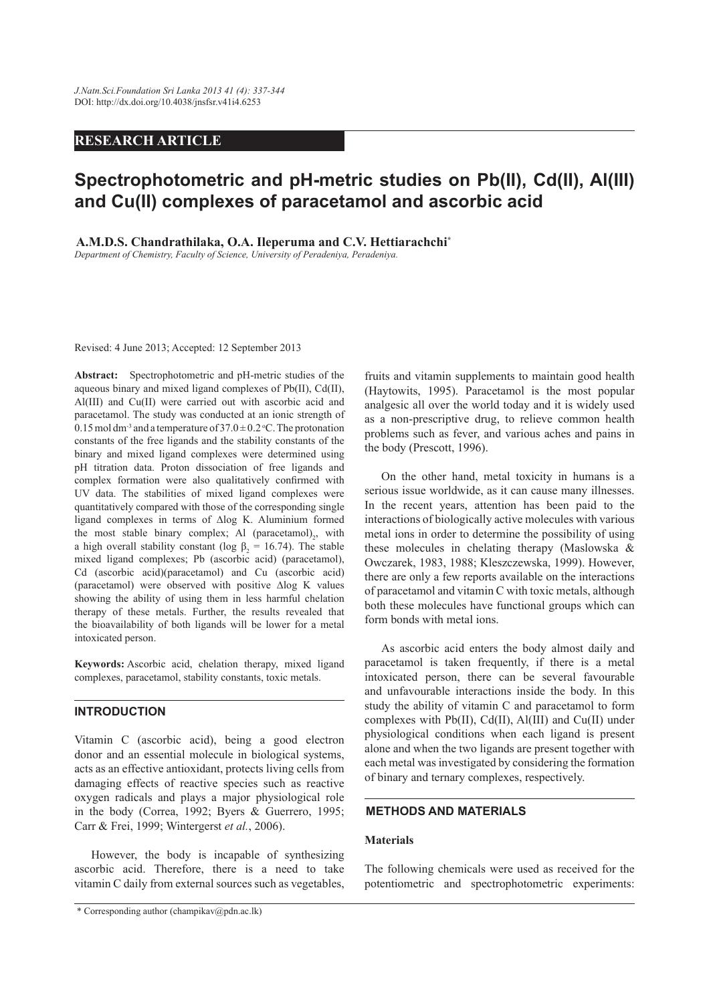# **RESEARCH ARTICLE**

# **Spectrophotometric and pH-metric studies on Pb(II), Cd(II), Al(III) and Cu(II) complexes of paracetamol and ascorbic acid**

## **A.M.D.S. Chandrathilaka, O.A. Ileperuma and C.V. Hettiarachchi\***

*Department of Chemistry, Faculty of Science, University of Peradeniya, Peradeniya.*

Revised: 4 June 2013; Accepted: 12 September 2013

**Abstract:** Spectrophotometric and pH-metric studies of the aqueous binary and mixed ligand complexes of Pb(II), Cd(II), Al(III) and Cu(II) were carried out with ascorbic acid and paracetamol. The study was conducted at an ionic strength of 0.15 mol dm<sup>-3</sup> and a temperature of  $37.0 \pm 0.2$  °C. The protonation constants of the free ligands and the stability constants of the binary and mixed ligand complexes were determined using pH titration data. Proton dissociation of free ligands and complex formation were also qualitatively confirmed with UV data. The stabilities of mixed ligand complexes were quantitatively compared with those of the corresponding single ligand complexes in terms of ∆log K. Aluminium formed the most stable binary complex; Al (paracetamol) $_2$ , with a high overall stability constant (log  $\beta_2 = 16.74$ ). The stable mixed ligand complexes; Pb (ascorbic acid) (paracetamol), Cd (ascorbic acid)(paracetamol) and Cu (ascorbic acid) (paracetamol) were observed with positive ∆log K values showing the ability of using them in less harmful chelation therapy of these metals. Further, the results revealed that the bioavailability of both ligands will be lower for a metal intoxicated person.

**Keywords:** Ascorbic acid, chelation therapy, mixed ligand complexes, paracetamol, stability constants, toxic metals.

# **INTRODUCTION**

Vitamin C (ascorbic acid), being a good electron donor and an essential molecule in biological systems, acts as an effective antioxidant, protects living cells from damaging effects of reactive species such as reactive oxygen radicals and plays a major physiological role in the body (Correa, 1992; Byers & Guerrero, 1995; Carr & Frei, 1999; Wintergerst *et al.*, 2006).

 However, the body is incapable of synthesizing ascorbic acid. Therefore, there is a need to take vitamin C daily from external sources such as vegetables,

fruits and vitamin supplements to maintain good health (Haytowits, 1995). Paracetamol is the most popular analgesic all over the world today and it is widely used as a non-prescriptive drug, to relieve common health problems such as fever, and various aches and pains in the body (Prescott, 1996).

 On the other hand, metal toxicity in humans is a serious issue worldwide, as it can cause many illnesses. In the recent years, attention has been paid to the interactions of biologically active molecules with various metal ions in order to determine the possibility of using these molecules in chelating therapy (Maslowska & Owczarek, 1983, 1988; Kleszczewska, 1999). However, there are only a few reports available on the interactions of paracetamol and vitamin C with toxic metals, although both these molecules have functional groups which can form bonds with metal ions.

 As ascorbic acid enters the body almost daily and paracetamol is taken frequently, if there is a metal intoxicated person, there can be several favourable and unfavourable interactions inside the body. In this study the ability of vitamin C and paracetamol to form complexes with Pb(II), Cd(II), Al(III) and Cu(II) under physiological conditions when each ligand is present alone and when the two ligands are present together with each metal was investigated by considering the formation of binary and ternary complexes, respectively.

## **METHODS AND MATERIALS**

## **Materials**

The following chemicals were used as received for the potentiometric and spectrophotometric experiments:

<sup>\*</sup> Corresponding author (champikav@pdn.ac.lk)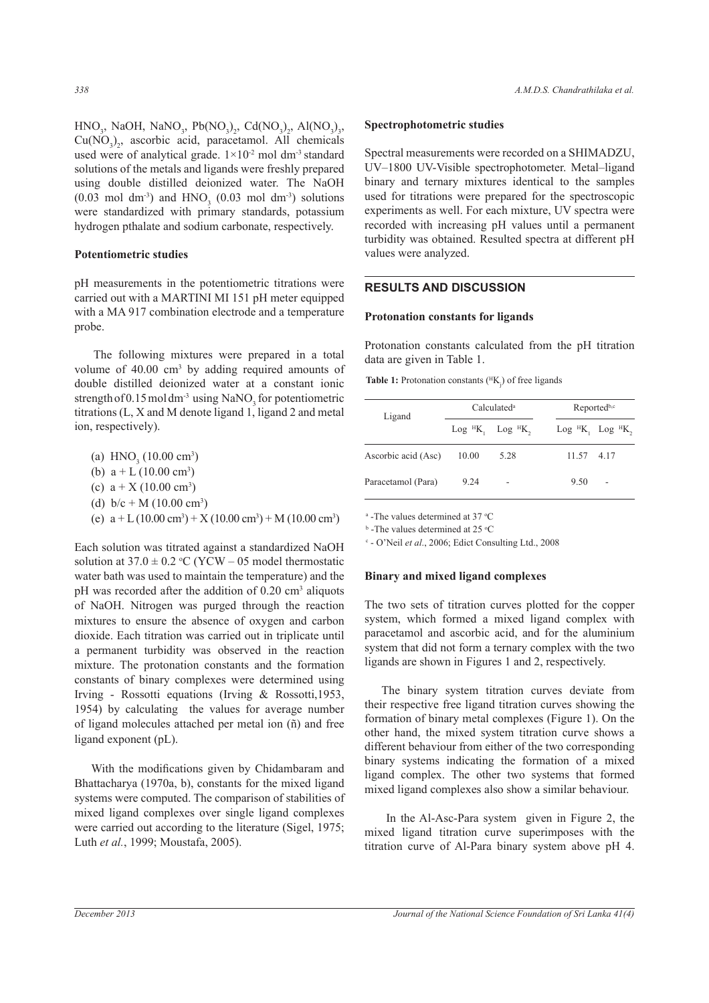$HNO_3$ , NaOH, NaNO<sub>3</sub>, Pb(NO<sub>3</sub>)<sub>2</sub>, Cd(NO<sub>3</sub>)<sub>2</sub>, Al(NO<sub>3</sub>)<sub>3</sub>,  $Cu(NO<sub>3</sub>)<sub>2</sub>$ , ascorbic acid, paracetamol. All chemicals used were of analytical grade.  $1 \times 10^{-2}$  mol dm<sup>-3</sup> standard solutions of the metals and ligands were freshly prepared using double distilled deionized water. The NaOH  $(0.03 \text{ mol dm}^3)$  and  $HNO<sub>3</sub>$   $(0.03 \text{ mol dm}^3)$  solutions were standardized with primary standards, potassium hydrogen pthalate and sodium carbonate, respectively.

#### **Potentiometric studies**

pH measurements in the potentiometric titrations were carried out with a MARTINI MI 151 pH meter equipped with a MA 917 combination electrode and a temperature probe.

 The following mixtures were prepared in a total volume of  $40.00 \text{ cm}^3$  by adding required amounts of double distilled deionized water at a constant ionic strength of  $0.15$  mol dm<sup>-3</sup> using NaNO<sub>2</sub> for potentiometric titrations (L, X and M denote ligand 1, ligand 2 and metal ion, respectively).

| (a) $HNO3 (10.00 cm3)$               |
|--------------------------------------|
| (b) $a + L$ (10.00 cm <sup>3</sup> ) |

- (c)  $a + X (10.00 \text{ cm}^3)$
- (d)  $b/c + M (10.00 cm<sup>3</sup>)$
- (e)  $a + L(10.00 \text{ cm}^3) + X(10.00 \text{ cm}^3) + M(10.00 \text{ cm}^3)$

Each solution was titrated against a standardized NaOH solution at  $37.0 \pm 0.2$  °C (YCW – 05 model thermostatic water bath was used to maintain the temperature) and the pH was recorded after the addition of 0.20 cm<sup>3</sup> aliquots of NaOH. Nitrogen was purged through the reaction mixtures to ensure the absence of oxygen and carbon dioxide. Each titration was carried out in triplicate until a permanent turbidity was observed in the reaction mixture. The protonation constants and the formation constants of binary complexes were determined using Irving - Rossotti equations (Irving & Rossotti,1953, 1954) by calculating the values for average number of ligand molecules attached per metal ion (ñ) and free ligand exponent (pL).

 With the modifications given by Chidambaram and Bhattacharya (1970a, b), constants for the mixed ligand systems were computed. The comparison of stabilities of mixed ligand complexes over single ligand complexes were carried out according to the literature (Sigel, 1975; Luth *et al.*, 1999; Moustafa, 2005).

#### **Spectrophotometric studies**

Spectral measurements were recorded on a SHIMADZU, UV–1800 UV-Visible spectrophotometer. Metal–ligand binary and ternary mixtures identical to the samples used for titrations were prepared for the spectroscopic experiments as well. For each mixture, UV spectra were recorded with increasing pH values until a permanent turbidity was obtained. Resulted spectra at different pH values were analyzed.

## **RESULTS AND DISCUSSION**

#### **Protonation constants for ligands**

Protonation constants calculated from the pH titration data are given in Table 1.

| <b>Table 1:</b> Protonation constants $({}^{H}K)$ of free ligands |  |  |
|-------------------------------------------------------------------|--|--|
|-------------------------------------------------------------------|--|--|

| Ligand              |       | Calculated <sup>a</sup>                   | Reported <sup>b,c</sup> |  |
|---------------------|-------|-------------------------------------------|-------------------------|--|
|                     |       | $Log$ <sup>H</sup> K, Log <sup>H</sup> K, | Log $HK$ , Log $HK$ ,   |  |
| Ascorbic acid (Asc) | 10.00 | 5.28                                      | 11.57 4.17              |  |
| Paracetamol (Para)  | 9.24  |                                           | 9.50                    |  |

<sup>a</sup> -The values determined at 37 °C

<sup>b</sup> -The values determined at 25 °C

c - O'Neil *et al*., 2006; Edict Consulting Ltd., 2008

#### **Binary and mixed ligand complexes**

The two sets of titration curves plotted for the copper system, which formed a mixed ligand complex with paracetamol and ascorbic acid, and for the aluminium system that did not form a ternary complex with the two ligands are shown in Figures 1 and 2, respectively.

 The binary system titration curves deviate from their respective free ligand titration curves showing the formation of binary metal complexes (Figure 1). On the other hand, the mixed system titration curve shows a different behaviour from either of the two corresponding binary systems indicating the formation of a mixed ligand complex. The other two systems that formed mixed ligand complexes also show a similar behaviour.

 In the Al-Asc-Para system given in Figure 2, the mixed ligand titration curve superimposes with the titration curve of Al-Para binary system above pH 4.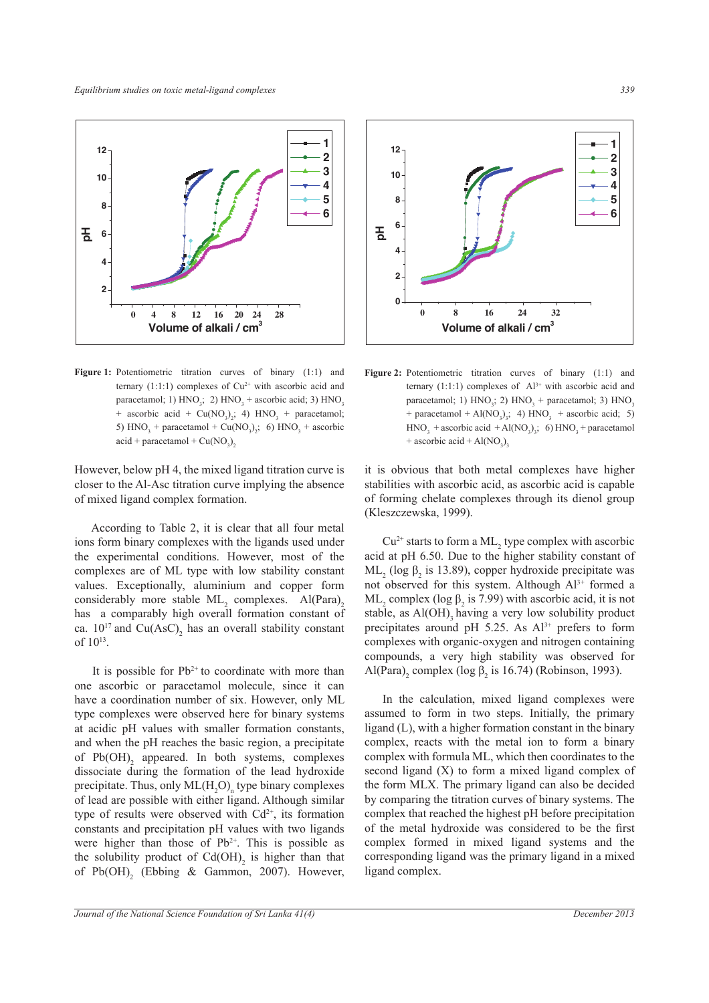

**Figure 1:** Potentiometric titration curves of binary (1:1) and ternary  $(1:1:1)$  complexes of  $Cu<sup>2+</sup>$  with ascorbic acid and paracetamol; 1)  $HNO<sub>3</sub>$ ; 2)  $HNO<sub>3</sub>$  + ascorbic acid; 3)  $HNO<sub>3</sub>$ + ascorbic acid +  $Cu(NO<sub>3</sub>)<sub>2</sub>$ ; 4) HNO<sub>3</sub> + paracetamol; 5)  $HNO<sub>3</sub> + paracetamol + Cu(NO<sub>3</sub>)<sub>2</sub>; 6) HNO<sub>3</sub> + ascorbic$  $\text{acid} + \text{paracetamol} + \text{Cu}(\text{NO}_3)_2$ 

However, below pH 4, the mixed ligand titration curve is closer to the Al-Asc titration curve implying the absence of mixed ligand complex formation.

 According to Table 2, it is clear that all four metal ions form binary complexes with the ligands used under the experimental conditions. However, most of the complexes are of ML type with low stability constant values. Exceptionally, aluminium and copper form considerably more stable  $ML_2$  complexes.  $Al(Para)$ <sub>2</sub> has a comparably high overall formation constant of ca.  $10^{17}$  and  $Cu(AsC)$ <sub>2</sub> has an overall stability constant of  $10^{13}$ .

It is possible for  $Pb^{2+}$  to coordinate with more than one ascorbic or paracetamol molecule, since it can have a coordination number of six. However, only ML type complexes were observed here for binary systems at acidic pH values with smaller formation constants, and when the pH reaches the basic region, a precipitate of  $Pb(OH)$ <sub>2</sub> appeared. In both systems, complexes dissociate during the formation of the lead hydroxide precipitate. Thus, only  $ML(H_2O)$ <sub>n</sub> type binary complexes of lead are possible with either ligand. Although similar type of results were observed with  $Cd^{2+}$ , its formation constants and precipitation pH values with two ligands were higher than those of  $Pb^{2+}$ . This is possible as the solubility product of  $Cd(OH)_{2}$  is higher than that of  $Pb(OH)$ <sub>2</sub> (Ebbing & Gammon, 2007). However,



**Figure 2:** Potentiometric titration curves of binary (1:1) and ternary  $(1:1:1)$  complexes of Al<sup>3+</sup> with ascorbic acid and paracetamol; 1)  $HNO<sub>3</sub>$ ; 2)  $HNO<sub>3</sub> +$  paracetamol; 3)  $HNO<sub>3</sub>$ + paracetamol +  $\text{Al}(\text{NO}_3)_3$ ; 4)  $\text{HNO}_3$  + ascorbic acid; 5)  $HNO<sub>3</sub> + ascorbic acid + Al(NO<sub>3</sub>)<sub>3</sub>; 6) HNO<sub>3</sub> + paracetamol$ + ascorbic acid +  $\text{Al}(\text{NO}_3)$ <sub>3</sub>

it is obvious that both metal complexes have higher stabilities with ascorbic acid, as ascorbic acid is capable of forming chelate complexes through its dienol group (Kleszczewska, 1999).

 $Cu^{2+}$  starts to form a  $ML_2$  type complex with ascorbic acid at pH 6.50. Due to the higher stability constant of ML<sub>2</sub> (log  $\beta_2$  is 13.89), copper hydroxide precipitate was not observed for this system. Although  $Al^{3+}$  formed a ML<sub>2</sub> complex (log  $\beta_2$  is 7.99) with ascorbic acid, it is not stable, as Al(OH), having a very low solubility product precipitates around pH 5.25. As  $Al^{3+}$  prefers to form complexes with organic-oxygen and nitrogen containing compounds, a very high stability was observed for Al(Para)<sub>2</sub> complex (log  $\beta_2$  is 16.74) (Robinson, 1993).

 In the calculation, mixed ligand complexes were assumed to form in two steps. Initially, the primary ligand (L), with a higher formation constant in the binary complex, reacts with the metal ion to form a binary complex with formula ML, which then coordinates to the second ligand (X) to form a mixed ligand complex of the form MLX. The primary ligand can also be decided by comparing the titration curves of binary systems. The complex that reached the highest pH before precipitation of the metal hydroxide was considered to be the first complex formed in mixed ligand systems and the corresponding ligand was the primary ligand in a mixed ligand complex.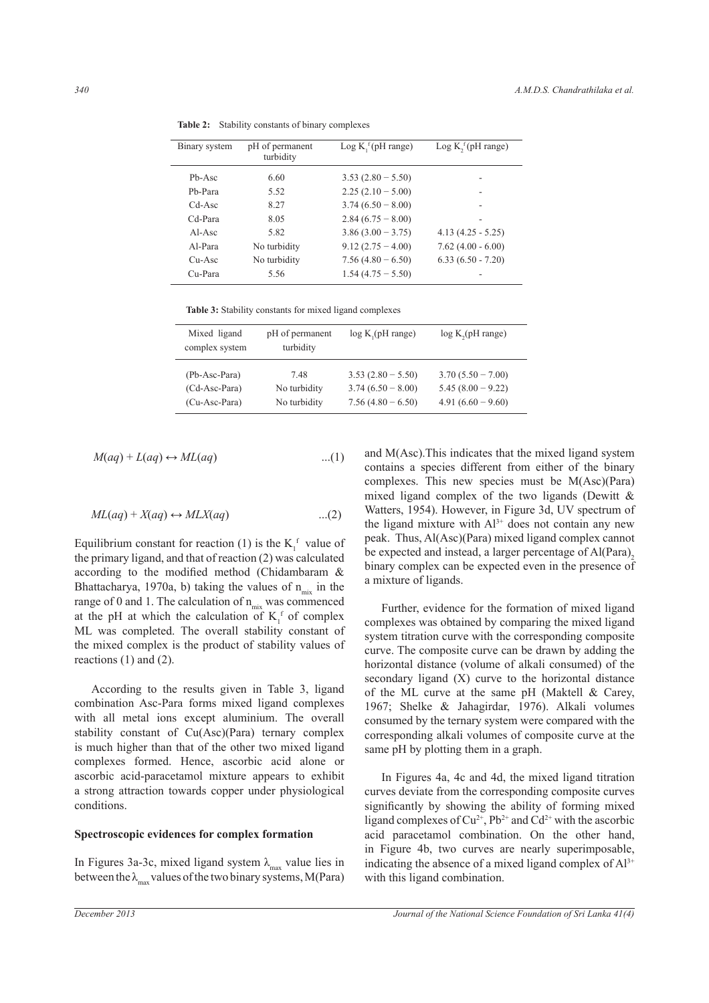| pH of permanent<br>turbidity | $Log Kif(pH range)$ | Log $K^f$ (pH range) |
|------------------------------|---------------------|----------------------|
| 6.60                         | $3.53(2.80 - 5.50)$ |                      |
| 5.52                         | $2.25(2.10-5.00)$   |                      |
| 8 2 7                        | $3.74(6.50 - 8.00)$ |                      |
| 8.05                         | $2.84(6.75-8.00)$   |                      |
| 5.82                         | $3.86(3.00 - 3.75)$ | $4.13(4.25 - 5.25)$  |
| No turbidity                 | $9.12(2.75 - 4.00)$ | $7.62$ (4.00 - 6.00) |
| No turbidity                 | $7.56(4.80 - 6.50)$ | $6.33(6.50 - 7.20)$  |
| 5.56                         | $1.54(4.75 - 5.50)$ |                      |
|                              |                     |                      |

**Table 2:** Stability constants of binary complexes

**Table 3:** Stability constants for mixed ligand complexes

| Mixed ligand<br>complex system | pH of permanent<br>turbidity | $log K$ <sub>1</sub> ( $pH$ range) | log K <sub>2</sub> (pH range) |
|--------------------------------|------------------------------|------------------------------------|-------------------------------|
| (Pb-Asc-Para)                  | 7.48                         | $3.53(2.80 - 5.50)$                | $3.70(5.50 - 7.00)$           |
| $(Cd-Asc-Para)$                | No turbidity                 | $3.74(6.50 - 8.00)$                | $5.45(8.00 - 9.22)$           |
| (Cu-Asc-Para)                  | No turbidity                 | $7.56(4.80 - 6.50)$                | $4.91(6.60 - 9.60)$           |

$$
M(aq) + L(aq) \leftrightarrow ML(aq) \tag{1}
$$

$$
ML(aq) + X(aq) \leftrightarrow MLX(aq) \tag{2}
$$

Equilibrium constant for reaction (1) is the  $K_i^f$  value of the primary ligand, and that of reaction (2) was calculated according to the modified method (Chidambaram & Bhattacharya, 1970a, b) taking the values of  $n_{mix}$  in the range of 0 and 1. The calculation of  $n_{mix}$  was commenced at the pH at which the calculation of  $K_i^f$  of complex ML was completed. The overall stability constant of the mixed complex is the product of stability values of reactions (1) and (2).

 According to the results given in Table 3, ligand combination Asc-Para forms mixed ligand complexes with all metal ions except aluminium. The overall stability constant of Cu(Asc)(Para) ternary complex is much higher than that of the other two mixed ligand complexes formed. Hence, ascorbic acid alone or ascorbic acid-paracetamol mixture appears to exhibit a strong attraction towards copper under physiological conditions.

#### **Spectroscopic evidences for complex formation**

In Figures 3a-3c, mixed ligand system  $\lambda_{\text{max}}$  value lies in between the  $\lambda_{\text{max}}$  values of the two binary systems, M(Para) and M(Asc).This indicates that the mixed ligand system contains a species different from either of the binary complexes. This new species must be M(Asc)(Para) mixed ligand complex of the two ligands (Dewitt  $\&$ Watters, 1954). However, in Figure 3d, UV spectrum of the ligand mixture with  $Al^{3+}$  does not contain any new peak. Thus, Al(Asc)(Para) mixed ligand complex cannot be expected and instead, a larger percentage of Al(Para), binary complex can be expected even in the presence of a mixture of ligands.

 Further, evidence for the formation of mixed ligand complexes was obtained by comparing the mixed ligand system titration curve with the corresponding composite curve. The composite curve can be drawn by adding the horizontal distance (volume of alkali consumed) of the secondary ligand (X) curve to the horizontal distance of the ML curve at the same pH (Maktell & Carey, 1967; Shelke & Jahagirdar, 1976). Alkali volumes consumed by the ternary system were compared with the corresponding alkali volumes of composite curve at the same pH by plotting them in a graph.

 In Figures 4a, 4c and 4d, the mixed ligand titration curves deviate from the corresponding composite curves significantly by showing the ability of forming mixed ligand complexes of  $Cu^{2+}$ , Pb<sup>2+</sup> and  $Cd^{2+}$  with the ascorbic acid paracetamol combination. On the other hand, in Figure 4b, two curves are nearly superimposable, indicating the absence of a mixed ligand complex of  $Al^{3+}$ with this ligand combination.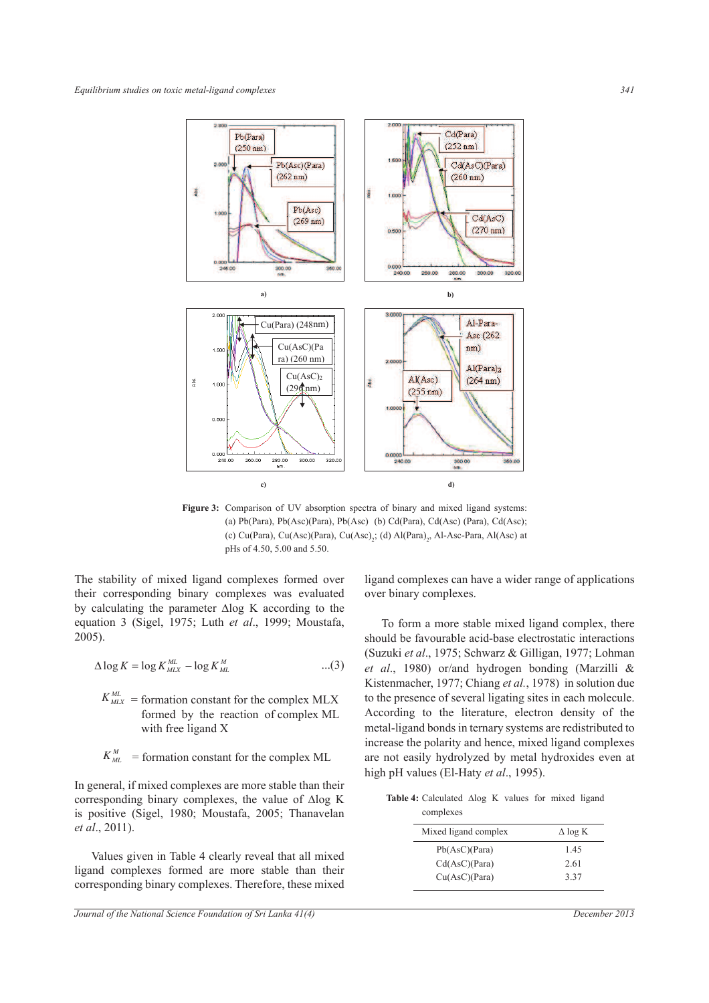

**Figure 3:** Comparison of UV absorption spectra of binary and mixed ligand systems: (a) Pb(Para), Pb(Asc)(Para), Pb(Asc) (b) Cd(Para), Cd(Asc) (Para), Cd(Asc); (c) Cu(Para), Cu(Asc)(Para), Cu(Asc)<sub>2</sub>; (d) Al(Para)<sub>2</sub>, Al-Asc-Para, Al(Asc) at pHs of 4.50, 5.00 and 5.50.

The stability of mixed ligand complexes formed over their corresponding binary complexes was evaluated by calculating the parameter ∆log K according to the equation 3 (Sigel, 1975; Luth *et al*., 1999; Moustafa, 2005).

$$
\Delta \log K = \log K_{MLX}^{ML} - \log K_{MLX}^M \tag{3}
$$

- $K_{\text{MLX}}^{\text{ML}}$  = formation constant for the complex MLX formed by the reaction of complex ML with free ligand X
- $K_{ML}^M$  = formation constant for the complex ML

In general, if mixed complexes are more stable than their corresponding binary complexes, the value of ∆log K is positive (Sigel, 1980; Moustafa, 2005; Thanavelan *et al*., 2011).

 Values given in Table 4 clearly reveal that all mixed ligand complexes formed are more stable than their corresponding binary complexes. Therefore, these mixed

*Journal of the National Science Foundation of Sri Lanka 41(4) December 2013*

ligand complexes can have a wider range of applications over binary complexes.

 To form a more stable mixed ligand complex, there should be favourable acid-base electrostatic interactions (Suzuki *et al*., 1975; Schwarz & Gilligan, 1977; Lohman *et al*., 1980) or/and hydrogen bonding (Marzilli & Kistenmacher, 1977; Chiang *et al.*, 1978) in solution due to the presence of several ligating sites in each molecule. According to the literature, electron density of the metal-ligand bonds in ternary systems are redistributed to increase the polarity and hence, mixed ligand complexes are not easily hydrolyzed by metal hydroxides even at high pH values (El-Haty *et al*., 1995).

**Table 4:** Calculated ∆log K values for mixed ligand complexes

| Mixed ligand complex | $\Delta$ log K |
|----------------------|----------------|
| Pb(AsC)(Para)        | 1.45           |
| Cd(AsC)(Para)        | 2.61           |
| Cu(AsC)(Para)        | 3.37           |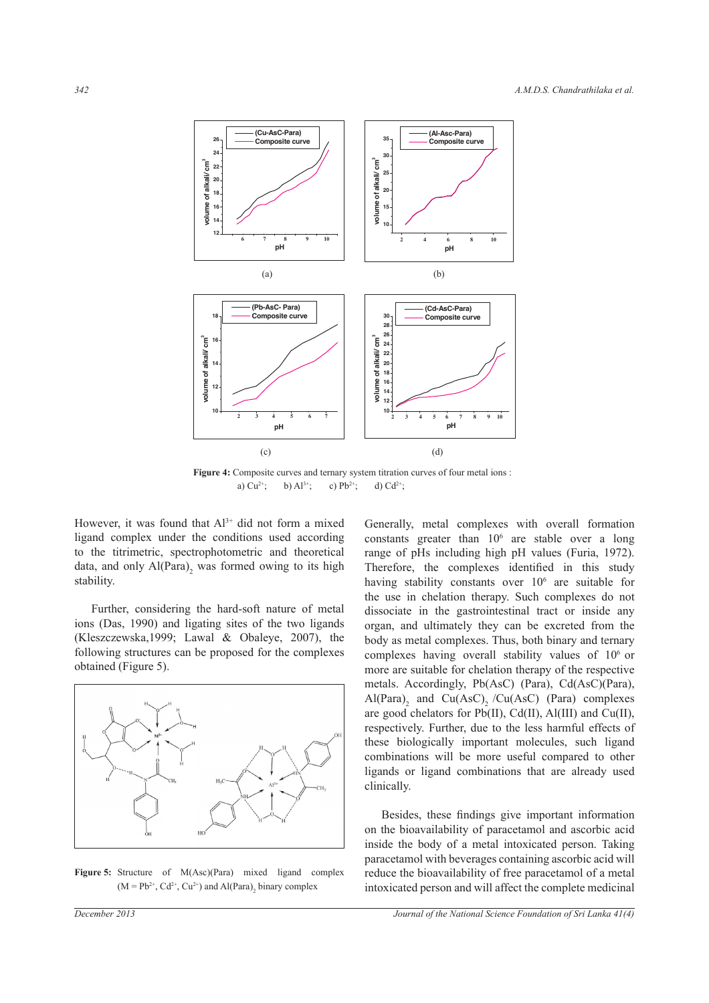

**Figure 4:** Composite curves and ternary system titration curves of four metal ions : a)  $Cu^{2+}$ ; b)  $Al^{3+}$ ; c)  $Pb^{2+}$ ; d)  $Cd^{2+}$ ;

However, it was found that  $Al^{3+}$  did not form a mixed ligand complex under the conditions used according to the titrimetric, spectrophotometric and theoretical data, and only  $AI(Para)$ <sub>2</sub> was formed owing to its high stability.

 Further, considering the hard-soft nature of metal ions (Das, 1990) and ligating sites of the two ligands (Kleszczewska,1999; Lawal & Obaleye, 2007), the following structures can be proposed for the complexes obtained (Figure 5).



**Figure 5:** Structure of M(Asc)(Para) mixed ligand complex  $(M = Pb^{2+}, Cd^{2+}, Cu^{2+})$  and Al(Para)<sub>2</sub> binary complex

Generally, metal complexes with overall formation constants greater than  $10^6$  are stable over a long range of pHs including high pH values (Furia, 1972). Therefore, the complexes identified in this study having stability constants over 10<sup>6</sup> are suitable for the use in chelation therapy. Such complexes do not dissociate in the gastrointestinal tract or inside any organ, and ultimately they can be excreted from the body as metal complexes. Thus, both binary and ternary complexes having overall stability values of  $10<sup>6</sup>$  or more are suitable for chelation therapy of the respective metals. Accordingly, Pb(AsC) (Para), Cd(AsC)(Para),  $\text{Al}(\text{Para})_2$  and  $\text{Cu}(\text{Asc})_2 / \text{Cu}(\text{Asc})$  (Para) complexes are good chelators for Pb(II), Cd(II), Al(III) and Cu(II), respectively. Further, due to the less harmful effects of these biologically important molecules, such ligand combinations will be more useful compared to other ligands or ligand combinations that are already used clinically.

 Besides, these findings give important information on the bioavailability of paracetamol and ascorbic acid inside the body of a metal intoxicated person. Taking paracetamol with beverages containing ascorbic acid will reduce the bioavailability of free paracetamol of a metal intoxicated person and will affect the complete medicinal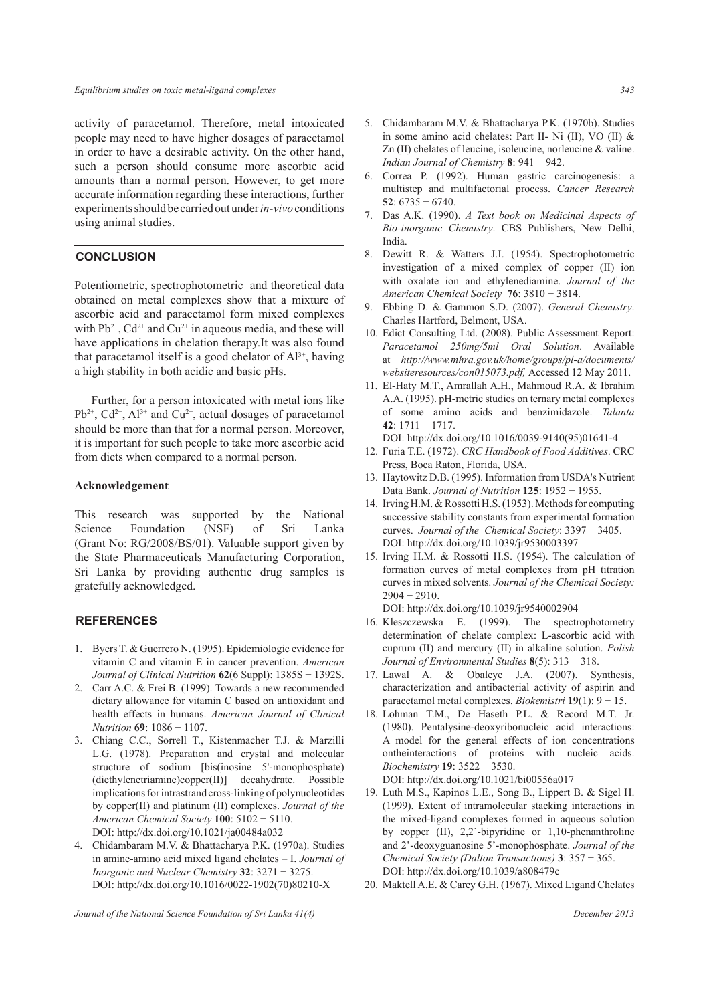activity of paracetamol. Therefore, metal intoxicated people may need to have higher dosages of paracetamol in order to have a desirable activity. On the other hand, such a person should consume more ascorbic acid amounts than a normal person. However, to get more accurate information regarding these interactions, further experiments should be carried out under *in-vivo* conditions using animal studies.

## **CONCLUSION**

Potentiometric, spectrophotometric and theoretical data obtained on metal complexes show that a mixture of ascorbic acid and paracetamol form mixed complexes with  $Pb^{2+}$ ,  $Cd^{2+}$  and  $Cu^{2+}$  in aqueous media, and these will have applications in chelation therapy.It was also found that paracetamol itself is a good chelator of  $Al^{3+}$ , having a high stability in both acidic and basic pHs.

 Further, for a person intoxicated with metal ions like  $Pb^{2+}$ ,  $Cd^{2+}$ ,  $Al^{3+}$  and  $Cu^{2+}$ , actual dosages of paracetamol should be more than that for a normal person. Moreover, it is important for such people to take more ascorbic acid from diets when compared to a normal person.

#### **Acknowledgement**

This research was supported by the National Science Foundation (NSF) of Sri Lanka (Grant No: RG/2008/BS/01). Valuable support given by the State Pharmaceuticals Manufacturing Corporation, Sri Lanka by providing authentic drug samples is gratefully acknowledged.

## **REFERENCES**

- 1. Byers T. & Guerrero N. (1995). Epidemiologic evidence for vitamin C and vitamin E in cancer prevention. *American Journal of Clinical Nutrition* **62**(6 Suppl): 1385S − 1392S.
- 2. Carr A.C. & Frei B. (1999). Towards a new recommended dietary allowance for vitamin C based on antioxidant and health effects in humans. *American Journal of Clinical Nutrition* **69**: 1086 − 1107.
- 3. Chiang C.C., Sorrell T., Kistenmacher T.J. & Marzilli L.G. (1978). Preparation and crystal and molecular structure of sodium [bis(inosine 5'-monophosphate) (diethylenetriamine)copper(II)] decahydrate. Possible implications for intrastrand cross-linking of polynucleotides by copper(II) and platinum (II) complexes. *Journal of the American Chemical Society* **100**: 5102 − 5110. DOI: http://dx.doi.org/10.1021/ja00484a032
- 4. Chidambaram M.V. & Bhattacharya P.K. (1970a). Studies in amine-amino acid mixed ligand chelates – I. *Journal of Inorganic and Nuclear Chemistry* **32**: 3271 − 3275. DOI: http://dx.doi.org/10.1016/0022-1902(70)80210-X
- 5. Chidambaram M.V. & Bhattacharya P.K. (1970b). Studies in some amino acid chelates: Part II- Ni (II), VO (II) & Zn (II) chelates of leucine, isoleucine, norleucine & valine. *Indian Journal of Chemistry* **8**: 941 − 942.
- 6. Correa P. (1992). Human gastric carcinogenesis: a multistep and multifactorial process. *Cancer Research* **52**: 6735 − 6740.
- 7. Das A.K. (1990). *A Text book on Medicinal Aspects of Bio-inorganic Chemistry*. CBS Publishers, New Delhi, India.
- 8. Dewitt R. & Watters J.I. (1954). Spectrophotometric investigation of a mixed complex of copper (II) ion with oxalate ion and ethylenediamine. *Journal of the American Chemical Society* **76**: 3810 − 3814.
- 9. Ebbing D. & Gammon S.D. (2007). *General Chemistry*. Charles Hartford, Belmont, USA.
- 10. Edict Consulting Ltd. (2008). Public Assessment Report: *Paracetamol 250mg/5ml Oral Solution*. Available at *http://www.mhra.gov.uk/home/groups/pl-a/documents/ websiteresources/con015073.pdf,* Accessed 12 May 2011.
- 11. El-Haty M.T., Amrallah A.H., Mahmoud R.A. & Ibrahim A.A. (1995). pH-metric studies on ternary metal complexes of some amino acids and benzimidazole. *Talanta* **42**: 1711 − 1717.
- DOI: http://dx.doi.org/10.1016/0039-9140(95)01641-4 12. Furia T.E. (1972). *CRC Handbook of Food Additives*. CRC Press, Boca Raton, Florida, USA.
- 13. Haytowitz D.B. (1995). Information from USDA's Nutrient Data Bank. *Journal of Nutrition* **125**: 1952 − 1955.
- 14. Irving H.M. & Rossotti H.S. (1953). Methods for computing successive stability constants from experimental formation curves. *Journal of the Chemical Society*: 3397 − 3405. DOI: http://dx.doi.org/10.1039/jr9530003397
- 15. Irving H.M. & Rossotti H.S. (1954). The calculation of formation curves of metal complexes from pH titration curves in mixed solvents. *Journal of the Chemical Society:*   $2904 - 2910$ .
	- DOI: http://dx.doi.org/10.1039/jr9540002904
- 16. Kleszczewska E. (1999). The spectrophotometry determination of chelate complex: L-ascorbic acid with cuprum (II) and mercury (II) in alkaline solution. *Polish Journal of Environmental Studies* **8**(5): 313 − 318.
- 17. Lawal A. & Obaleye J.A. (2007). Synthesis, characterization and antibacterial activity of aspirin and paracetamol metal complexes. *Biokemistri* **19**(1): 9 − 15.
- 18. Lohman T.M., De Haseth P.L. & Record M.T. Jr. (1980). Pentalysine-deoxyribonucleic acid interactions: A model for the general effects of ion concentrations ontheinteractions of proteins with nucleic acids. *Biochemistry* **19**: 3522 − 3530. DOI: http://dx.doi.org/10.1021/bi00556a017
- 19. Luth M.S., Kapinos L.E., Song B., Lippert B. & Sigel H. (1999). Extent of intramolecular stacking interactions in the mixed-ligand complexes formed in aqueous solution by copper (II), 2,2'-bipyridine or 1,10-phenanthroline and 2'-deoxyguanosine 5'-monophosphate. *Journal of the Chemical Society (Dalton Transactions)* **3**: 357 − 365. DOI: http://dx.doi.org/10.1039/a808479c
- 20. Maktell A.E. & Carey G.H. (1967). Mixed Ligand Chelates